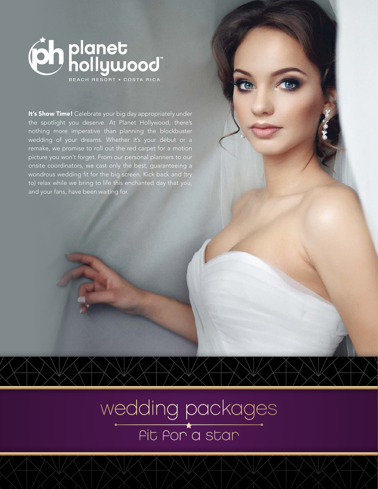

It's Show Time! Celebrate your big day appropriately under the spotlight you deserve. At Planet Hollywood, there's nothing more imperative than planning the blockbuster wedding of your dreams. Whether it's your début or a remake, we promise to roll out the red carpet for a motion picture you won't forget. From our personal planners to our onsite coordinators, we cast only the best, guaranteeing a wondrous wedding fit for the big screen. Kick back and (try to) relax while we bring to life this enchanted day that you, and your fans, have been waiting for.

> wedding packages fit for a star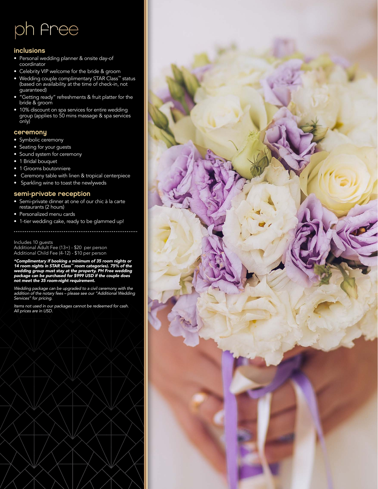## ph free

#### inclusions

- Personal wedding planner & onsite day-of coordinator
- Celebrity VIP welcome for the bride & groom
- Wedding couple complimentary STAR Class<sup>™</sup> status (based on availability at the time of check-in, not guaranteed)
- "Getting ready" refreshments & fruit platter for the bride & groom
- 10% discount on spa services for entire wedding group (applies to 50 mins massage & spa services only)

#### ceremony

- Symbolic ceremony
- Seating for your guests
- Sound system for ceremony
- 1 Bridal bouquet
- 1 Grooms boutonniere
- Ceremony table with linen & tropical centerpiece
- Sparkling wine to toast the newlyweds

#### semi-private reception

- Semi-private dinner at one of our chic à la carte restaurants (2 hours)
- Personalized menu cards
- 1-tier wedding cake, ready to be glammed up!

#### Includes 10 guests

Additional Adult Fee (13+) - \$20 per person Additional Child Fee (4-12) - \$10 per person

*\*Complimentary if booking a minimum of 35 room nights or 14 room nights in STAR Class™ room categories). 75% of the wedding group must stay at the property. PH Free wedding package can be purchased for \$999 USD if the couple does not meet the 35 room-night requirement.*

*Wedding package can be upgraded to a civil ceremony with the addition of the notary fees – please see our "Additional Wedding Services" for pricing.*

*Items not used in our packages cannot be redeemed for cash. All prices are in USD.*

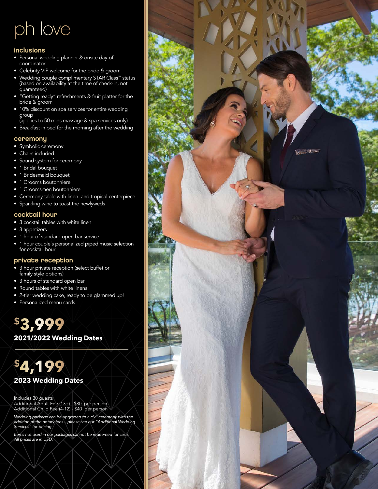## ph love

#### inclusions

- Personal wedding planner & onsite day-of coordinator
- Celebrity VIP welcome for the bride & groom
- Wedding couple complimentary STAR Class™ status (based on availability at the time of check-in, not guaranteed)
- "Getting ready" refreshments & fruit platter for the bride & groom
- 10% discount on spa services for entire wedding group
- (applies to 50 mins massage & spa services only) • Breakfast in bed for the morning after the wedding

#### ceremony

- Symbolic ceremony
- Chairs included
- Sound system for ceremony
- 1 Bridal bouquet
- 1 Bridesmaid bouquet
- 1 Grooms boutonniere
- 1 Groomsmen boutonniere
- Ceremony table with linen and tropical centerpiece
- Sparkling wine to toast the newlyweds

#### cocktail hour

- 3 cocktail tables with white linen
- 3 appetizers
- 1 hour of standard open bar service
- 1 hour couple´s personalized piped music selection for cocktail hour

#### private reception

- 3 hour private reception (select buffet or family style options)
- 3 hours of standard open bar
- Round tables with white linens
- 2-tier wedding cake, ready to be glammed up!
- Personalized menu cards

### **\$3,999**

**2021/2022 Wedding Dates**

### **\$4,199 2023 Wedding Dates**

Includes 30 guests Additional Adult Fee (13+) - \$80 per person Additional Child Fee (4-12) - \$40 per person

*Wedding package can be upgraded to a civil ceremony with the addition of the notary fees – please see our "Additional Wedding Services" for pricing.*

*Items not used in our packages cannot be redeemed for cash. All prices are in USD.*

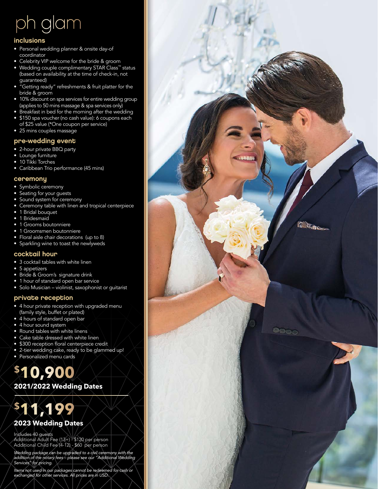# ph glam

#### inclusions

- Personal wedding planner & onsite day-of coordinator
- Celebrity VIP welcome for the bride & groom
- Wedding couple complimentary STAR Class™ status (based on availability at the time of check-in, not guaranteed)
- "Getting ready" refreshments & fruit platter for the bride & groom
- 10% discount on spa services for entire wedding group (applies to 50 mins massage & spa services only)
- Breakfast in bed for the morning after the wedding
- \$150 spa voucher (no cash value): 6 coupons each
- of \$25 value (\*One coupon per service) • 25 mins couples massage

#### pre-wedding event

- 2-hour private BBQ party
- Lounge furniture
- 10 Tikki Torches
- Caribbean Trio performance (45 mins)

#### ceremony

- Symbolic ceremony
- Seating for your guests
- Sound system for ceremony
- Ceremony table with linen and tropical centerpiece

**MO GAL** 

 $\bullet \circ \circ$ 

- 1 Bridal bouquet
- 1 Bridesmaid
- 1 Grooms boutonniere
- 1 Groomsmen boutonniere
- Floral aisle chair decorations (up to 8) • Sparkling wine to toast the newlyweds

#### cocktail hour

- 3 cocktail tables with white linen
- 5 appetizers
- Bride & Groom's signature drink
- 1 hour of standard open bar service
- Solo Musician violinist, saxophonist or guitarist

#### private reception

- 4 hour private reception with upgraded menu (family style, buffet or plated)
- 4 hours of standard open bar
- 4 hour sound system
- Round tables with white linens
- Cake table dressed with white linen
- \$300 reception floral centerpiece credit
- 2-tier wedding cake, ready to be glammed up!
- Personalized menu cards

### **\$10,900**

#### **2021/2022 Wedding Dates**



#### **2023 Wedding Dates**

Includes 40 guests Additional Adult Fee (13+) - \$120 per person Additional Child Fee (4-12) - \$60 per person

*Wedding package can be upgraded to a civil ceremony with the addition of the notary fees – please see our "Additional Wedding Services" for pricing.*

*Items not used in our packages cannot be redeemed for cash or exchanged for other services. All prices are in USD.*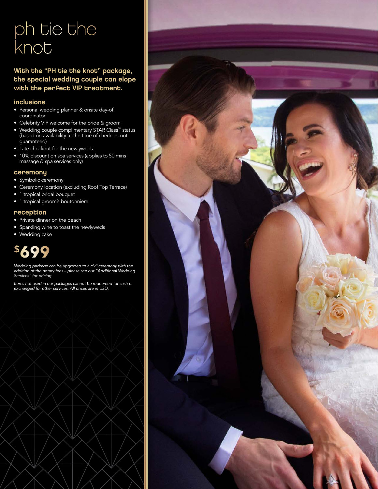## ph tie the knot

#### With the "PH tie the knot" package, the special wedding couple can elope with the perfect VIP treatment.

#### inclusions

- Personal wedding planner & onsite day-of coordinator
- Celebrity VIP welcome for the bride & groom
- Wedding couple complimentary STAR Class™ status (based on availability at the time of check-in, not guaranteed)
- Late checkout for the newlyweds
- 10% discount on spa services (applies to 50 mins massage & spa services only)

#### ceremony

- Symbolic ceremony
- Ceremony location (excluding Roof Top Terrace)
- 1 tropical bridal bouquet
- 1 tropical groom's boutonniere

#### reception

- Private dinner on the beach
- Sparkling wine to toast the newlyweds
- Wedding cake

## **\$699**

*Wedding package can be upgraded to a civil ceremony with the addition of the notary fees – please see our "Additional Wedding Services" for pricing.*

*Items not used in our packages cannot be redeemed for cash or exchanged for other services. All prices are in USD.*

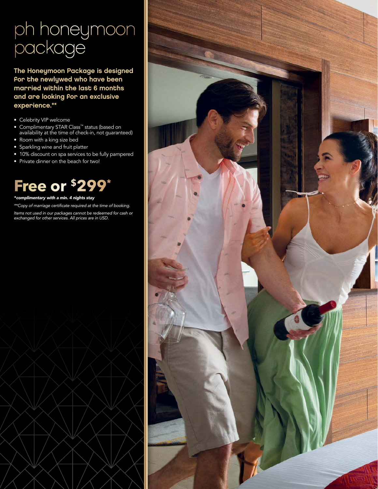## ph honeymoon package

The Honeymoon Package is designed for the newlywed who have been married within the last 6 months and are looking for an exclusive experience.\*\*

- Celebrity VIP welcome
- Complimentary STAR Class™ status (based on availability at the time of check-in, not guaranteed)
- Room with a king size bed
- Sparkling wine and fruit platter
- 10% discount on spa services to be fully pampered
- Private dinner on the beach for two!

### **Free or \$299\***

#### *\*complimentary with a min. 4 nights stay*

\*\*Copy of marriage certificate required at the time of booking.

*Items not used in our packages cannot be redeemed for cash or exchanged for other services. All prices are in USD.*